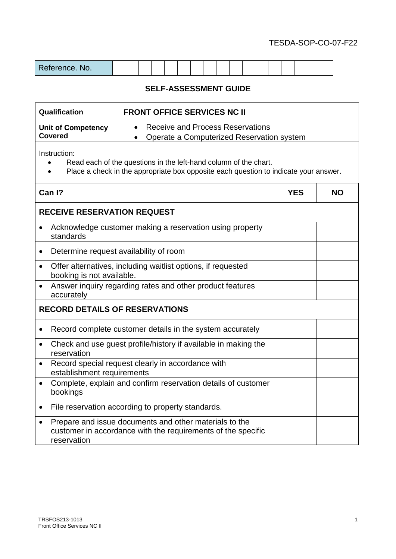| Reference. No. |  |  |  |  |  |  |  |  |  |  |  |  |  |  |  |  |
|----------------|--|--|--|--|--|--|--|--|--|--|--|--|--|--|--|--|
|----------------|--|--|--|--|--|--|--|--|--|--|--|--|--|--|--|--|

| Qualification                                       | <b>FRONT OFFICE SERVICES NC II</b>                                                                                                                       |            |           |
|-----------------------------------------------------|----------------------------------------------------------------------------------------------------------------------------------------------------------|------------|-----------|
| <b>Unit of Competency</b>                           | <b>Receive and Process Reservations</b><br>$\bullet$                                                                                                     |            |           |
| <b>Covered</b>                                      | Operate a Computerized Reservation system                                                                                                                |            |           |
| Instruction:                                        | Read each of the questions in the left-hand column of the chart.<br>Place a check in the appropriate box opposite each question to indicate your answer. |            |           |
| Can I?                                              |                                                                                                                                                          | <b>YES</b> | <b>NO</b> |
| <b>RECEIVE RESERVATION REQUEST</b>                  |                                                                                                                                                          |            |           |
| standards                                           | Acknowledge customer making a reservation using property                                                                                                 |            |           |
| Determine request availability of room<br>$\bullet$ |                                                                                                                                                          |            |           |
| $\bullet$<br>booking is not available.              | Offer alternatives, including waitlist options, if requested                                                                                             |            |           |
| accurately                                          | Answer inquiry regarding rates and other product features                                                                                                |            |           |
| <b>RECORD DETAILS OF RESERVATIONS</b>               |                                                                                                                                                          |            |           |
| ٠                                                   | Record complete customer details in the system accurately                                                                                                |            |           |
| $\bullet$<br>reservation                            | Check and use guest profile/history if available in making the                                                                                           |            |           |
| $\bullet$<br>establishment requirements             | Record special request clearly in accordance with                                                                                                        |            |           |
| $\bullet$<br>bookings                               | Complete, explain and confirm reservation details of customer                                                                                            |            |           |
|                                                     | File reservation according to property standards.                                                                                                        |            |           |

| • Prepare and issue documents and other materials to the     |  |
|--------------------------------------------------------------|--|
| customer in accordance with the requirements of the specific |  |
| reservation                                                  |  |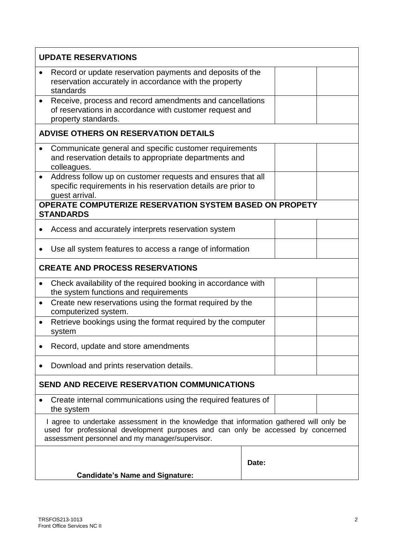|           | <b>UPDATE RESERVATIONS</b>                                                                                                                                                                                                     |       |  |
|-----------|--------------------------------------------------------------------------------------------------------------------------------------------------------------------------------------------------------------------------------|-------|--|
|           | Record or update reservation payments and deposits of the<br>reservation accurately in accordance with the property<br>standards                                                                                               |       |  |
|           | Receive, process and record amendments and cancellations<br>of reservations in accordance with customer request and<br>property standards.                                                                                     |       |  |
|           | <b>ADVISE OTHERS ON RESERVATION DETAILS</b>                                                                                                                                                                                    |       |  |
|           | Communicate general and specific customer requirements<br>and reservation details to appropriate departments and<br>colleagues.                                                                                                |       |  |
|           | Address follow up on customer requests and ensures that all<br>specific requirements in his reservation details are prior to<br>guest arrival.                                                                                 |       |  |
|           | <b>OPERATE COMPUTERIZE RESERVATION SYSTEM BASED ON PROPETY</b><br><b>STANDARDS</b>                                                                                                                                             |       |  |
|           | Access and accurately interprets reservation system                                                                                                                                                                            |       |  |
|           | Use all system features to access a range of information                                                                                                                                                                       |       |  |
|           | <b>CREATE AND PROCESS RESERVATIONS</b>                                                                                                                                                                                         |       |  |
|           | Check availability of the required booking in accordance with<br>the system functions and requirements                                                                                                                         |       |  |
| $\bullet$ | Create new reservations using the format required by the<br>computerized system.                                                                                                                                               |       |  |
|           | Retrieve bookings using the format required by the computer<br>system                                                                                                                                                          |       |  |
|           | Record, update and store amendments                                                                                                                                                                                            |       |  |
|           | Download and prints reservation details.                                                                                                                                                                                       |       |  |
|           | <b>SEND AND RECEIVE RESERVATION COMMUNICATIONS</b>                                                                                                                                                                             |       |  |
|           | Create internal communications using the required features of<br>the system                                                                                                                                                    |       |  |
|           | I agree to undertake assessment in the knowledge that information gathered will only be<br>used for professional development purposes and can only be accessed by concerned<br>assessment personnel and my manager/supervisor. |       |  |
|           |                                                                                                                                                                                                                                | Date: |  |
|           | <b>Candidate's Name and Signature:</b>                                                                                                                                                                                         |       |  |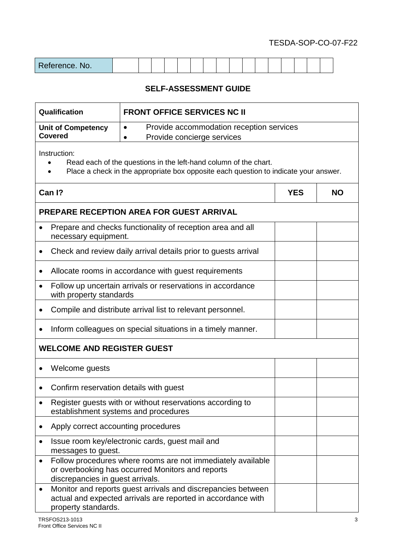| Reference. No. |  |  |  |  |  |  |  |  |  |  |  |  |  |  |  |  |
|----------------|--|--|--|--|--|--|--|--|--|--|--|--|--|--|--|--|
|----------------|--|--|--|--|--|--|--|--|--|--|--|--|--|--|--|--|

| Qualification                                                                         | <b>FRONT OFFICE SERVICES NC II</b>                                                                                                                       |            |           |  |  |  |  |
|---------------------------------------------------------------------------------------|----------------------------------------------------------------------------------------------------------------------------------------------------------|------------|-----------|--|--|--|--|
| <b>Unit of Competency</b><br><b>Covered</b>                                           | Provide accommodation reception services<br>$\bullet$                                                                                                    |            |           |  |  |  |  |
|                                                                                       | Provide concierge services                                                                                                                               |            |           |  |  |  |  |
| Instruction:                                                                          | Read each of the questions in the left-hand column of the chart.<br>Place a check in the appropriate box opposite each question to indicate your answer. |            |           |  |  |  |  |
| Can I?                                                                                |                                                                                                                                                          | <b>YES</b> | <b>NO</b> |  |  |  |  |
|                                                                                       | <b>PREPARE RECEPTION AREA FOR GUEST ARRIVAL</b>                                                                                                          |            |           |  |  |  |  |
| necessary equipment.                                                                  | Prepare and checks functionality of reception area and all                                                                                               |            |           |  |  |  |  |
|                                                                                       | Check and review daily arrival details prior to quests arrival                                                                                           |            |           |  |  |  |  |
|                                                                                       | Allocate rooms in accordance with guest requirements                                                                                                     |            |           |  |  |  |  |
| Follow up uncertain arrivals or reservations in accordance<br>with property standards |                                                                                                                                                          |            |           |  |  |  |  |
|                                                                                       | Compile and distribute arrival list to relevant personnel.                                                                                               |            |           |  |  |  |  |
| $\bullet$                                                                             | Inform colleagues on special situations in a timely manner.                                                                                              |            |           |  |  |  |  |
| <b>WELCOME AND REGISTER GUEST</b>                                                     |                                                                                                                                                          |            |           |  |  |  |  |
| Welcome guests<br>$\bullet$                                                           |                                                                                                                                                          |            |           |  |  |  |  |
| Confirm reservation details with guest                                                |                                                                                                                                                          |            |           |  |  |  |  |
|                                                                                       | Register guests with or without reservations according to<br>establishment systems and procedures                                                        |            |           |  |  |  |  |
|                                                                                       | Apply correct accounting procedures                                                                                                                      |            |           |  |  |  |  |
| Issue room key/electronic cards, guest mail and<br>messages to guest.                 |                                                                                                                                                          |            |           |  |  |  |  |
| discrepancies in guest arrivals.                                                      | Follow procedures where rooms are not immediately available<br>or overbooking has occurred Monitors and reports                                          |            |           |  |  |  |  |
| property standards.                                                                   | Monitor and reports guest arrivals and discrepancies between<br>actual and expected arrivals are reported in accordance with                             |            |           |  |  |  |  |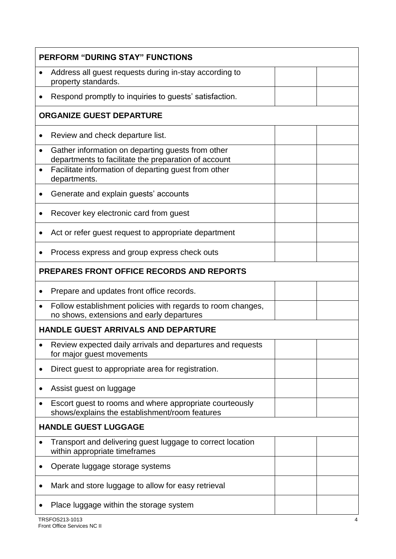|           | <b>PERFORM "DURING STAY" FUNCTIONS</b>                                                                    |
|-----------|-----------------------------------------------------------------------------------------------------------|
|           | Address all guest requests during in-stay according to<br>property standards.                             |
|           | Respond promptly to inquiries to guests' satisfaction.                                                    |
|           | <b>ORGANIZE GUEST DEPARTURE</b>                                                                           |
|           | Review and check departure list.                                                                          |
|           | Gather information on departing guests from other<br>departments to facilitate the preparation of account |
|           | Facilitate information of departing guest from other<br>departments.                                      |
|           | Generate and explain guests' accounts                                                                     |
|           | Recover key electronic card from guest                                                                    |
|           | Act or refer guest request to appropriate department                                                      |
|           | Process express and group express check outs                                                              |
|           | <b>PREPARES FRONT OFFICE RECORDS AND REPORTS</b>                                                          |
|           | Prepare and updates front office records.                                                                 |
| $\bullet$ | Follow establishment policies with regards to room changes,<br>no shows, extensions and early departures  |
|           | <b>HANDLE GUEST ARRIVALS AND DEPARTURE</b>                                                                |
|           | Review expected daily arrivals and departures and requests<br>for major guest movements                   |
|           | Direct guest to appropriate area for registration.                                                        |
|           | Assist guest on luggage                                                                                   |
|           | Escort guest to rooms and where appropriate courteously<br>shows/explains the establishment/room features |
|           | <b>HANDLE GUEST LUGGAGE</b>                                                                               |
|           | Transport and delivering guest luggage to correct location<br>within appropriate timeframes               |
|           | Operate luggage storage systems                                                                           |
|           | Mark and store luggage to allow for easy retrieval                                                        |
|           | Place luggage within the storage system                                                                   |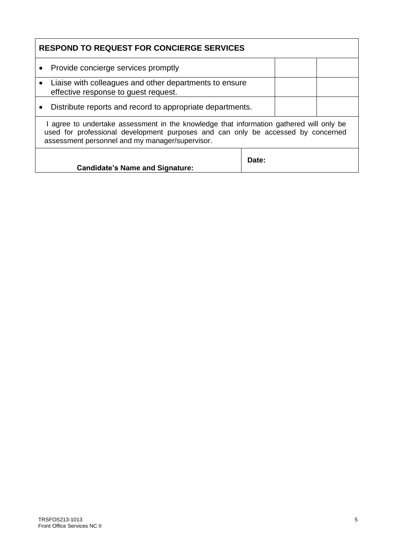|                                                                                                             | <b>RESPOND TO REQUEST FOR CONCIERGE SERVICES</b>                                                                                                                            |  |  |  |  |  |  |  |  |  |
|-------------------------------------------------------------------------------------------------------------|-----------------------------------------------------------------------------------------------------------------------------------------------------------------------------|--|--|--|--|--|--|--|--|--|
| Provide concierge services promptly<br>$\bullet$                                                            |                                                                                                                                                                             |  |  |  |  |  |  |  |  |  |
| Liaise with colleagues and other departments to ensure<br>$\bullet$<br>effective response to quest request. |                                                                                                                                                                             |  |  |  |  |  |  |  |  |  |
| Distribute reports and record to appropriate departments.                                                   |                                                                                                                                                                             |  |  |  |  |  |  |  |  |  |
| assessment personnel and my manager/supervisor.                                                             | I agree to undertake assessment in the knowledge that information gathered will only be<br>used for professional development purposes and can only be accessed by concerned |  |  |  |  |  |  |  |  |  |
| <b>Candidate's Name and Signature:</b>                                                                      | Date:                                                                                                                                                                       |  |  |  |  |  |  |  |  |  |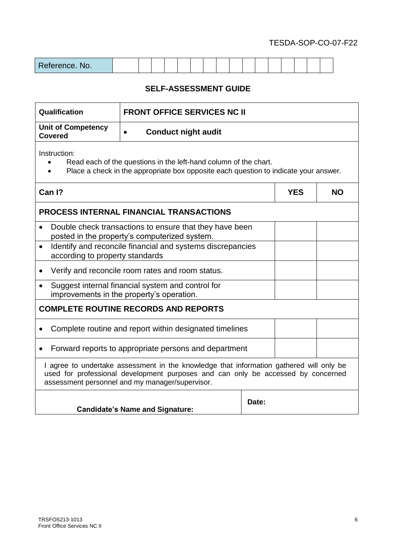| Reference. No. |  |  |  |  |  |  |  |  |  |  |  |  |  |  |  |  |
|----------------|--|--|--|--|--|--|--|--|--|--|--|--|--|--|--|--|
|----------------|--|--|--|--|--|--|--|--|--|--|--|--|--|--|--|--|

| Qualification                                                                                              | <b>FRONT OFFICE SERVICES NC II</b>                                                                                                                                                                                             |            |           |  |  |  |
|------------------------------------------------------------------------------------------------------------|--------------------------------------------------------------------------------------------------------------------------------------------------------------------------------------------------------------------------------|------------|-----------|--|--|--|
| <b>Unit of Competency</b><br><b>Covered</b>                                                                | <b>Conduct night audit</b>                                                                                                                                                                                                     |            |           |  |  |  |
| Instruction:                                                                                               | Read each of the questions in the left-hand column of the chart.<br>Place a check in the appropriate box opposite each question to indicate your answer.                                                                       |            |           |  |  |  |
| Can I?                                                                                                     |                                                                                                                                                                                                                                | <b>YES</b> | <b>NO</b> |  |  |  |
|                                                                                                            | <b>PROCESS INTERNAL FINANCIAL TRANSACTIONS</b>                                                                                                                                                                                 |            |           |  |  |  |
|                                                                                                            | Double check transactions to ensure that they have been<br>posted in the property's computerized system.                                                                                                                       |            |           |  |  |  |
| Identify and reconcile financial and systems discrepancies<br>$\bullet$<br>according to property standards |                                                                                                                                                                                                                                |            |           |  |  |  |
|                                                                                                            | Verify and reconcile room rates and room status.                                                                                                                                                                               |            |           |  |  |  |
|                                                                                                            | Suggest internal financial system and control for<br>improvements in the property's operation.                                                                                                                                 |            |           |  |  |  |
|                                                                                                            | <b>COMPLETE ROUTINE RECORDS AND REPORTS</b>                                                                                                                                                                                    |            |           |  |  |  |
|                                                                                                            | Complete routine and report within designated timelines                                                                                                                                                                        |            |           |  |  |  |
|                                                                                                            | Forward reports to appropriate persons and department                                                                                                                                                                          |            |           |  |  |  |
|                                                                                                            | I agree to undertake assessment in the knowledge that information gathered will only be<br>used for professional development purposes and can only be accessed by concerned<br>assessment personnel and my manager/supervisor. |            |           |  |  |  |
|                                                                                                            | <b>Candidate's Name and Signature:</b>                                                                                                                                                                                         | Date:      |           |  |  |  |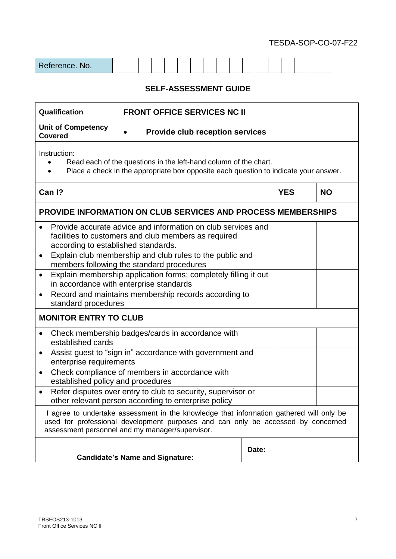| Reference. No. |  |  |  |  |  |  |  |  |  |  |  |  |  |  |  |  |
|----------------|--|--|--|--|--|--|--|--|--|--|--|--|--|--|--|--|
|----------------|--|--|--|--|--|--|--|--|--|--|--|--|--|--|--|--|

| Qualification                                                                                                           | <b>FRONT OFFICE SERVICES NC II</b>                                                                                                                                                                                             |       |            |           |
|-------------------------------------------------------------------------------------------------------------------------|--------------------------------------------------------------------------------------------------------------------------------------------------------------------------------------------------------------------------------|-------|------------|-----------|
| <b>Unit of Competency</b><br><b>Covered</b>                                                                             | <b>Provide club reception services</b>                                                                                                                                                                                         |       |            |           |
| Instruction:                                                                                                            | Read each of the questions in the left-hand column of the chart.<br>Place a check in the appropriate box opposite each question to indicate your answer.                                                                       |       |            |           |
| Can I?                                                                                                                  |                                                                                                                                                                                                                                |       | <b>YES</b> | <b>NO</b> |
|                                                                                                                         | <b>PROVIDE INFORMATION ON CLUB SERVICES AND PROCESS MEMBERSHIPS</b>                                                                                                                                                            |       |            |           |
| $\bullet$<br>according to established standards.                                                                        | Provide accurate advice and information on club services and<br>facilities to customers and club members as required                                                                                                           |       |            |           |
| $\bullet$                                                                                                               | Explain club membership and club rules to the public and<br>members following the standard procedures                                                                                                                          |       |            |           |
| Explain membership application forms; completely filling it out<br>$\bullet$<br>in accordance with enterprise standards |                                                                                                                                                                                                                                |       |            |           |
| $\bullet$<br>standard procedures                                                                                        | Record and maintains membership records according to                                                                                                                                                                           |       |            |           |
| <b>MONITOR ENTRY TO CLUB</b>                                                                                            |                                                                                                                                                                                                                                |       |            |           |
| $\bullet$<br>established cards                                                                                          | Check membership badges/cards in accordance with                                                                                                                                                                               |       |            |           |
| enterprise requirements                                                                                                 | Assist guest to "sign in" accordance with government and                                                                                                                                                                       |       |            |           |
| $\bullet$<br>established policy and procedures                                                                          | Check compliance of members in accordance with                                                                                                                                                                                 |       |            |           |
| $\bullet$                                                                                                               | Refer disputes over entry to club to security, supervisor or<br>other relevant person according to enterprise policy                                                                                                           |       |            |           |
|                                                                                                                         | I agree to undertake assessment in the knowledge that information gathered will only be<br>used for professional development purposes and can only be accessed by concerned<br>assessment personnel and my manager/supervisor. |       |            |           |
|                                                                                                                         | <b>Candidate's Name and Signature:</b>                                                                                                                                                                                         | Date: |            |           |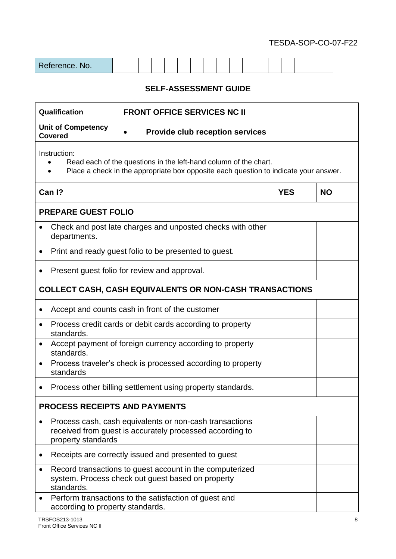| Reference. No. |  |  |  |  |  |  |  |  |  |  |  |  |  |  |  |  |
|----------------|--|--|--|--|--|--|--|--|--|--|--|--|--|--|--|--|
|----------------|--|--|--|--|--|--|--|--|--|--|--|--|--|--|--|--|

| Qualification                                                                                                                                                            | <b>FRONT OFFICE SERVICES NC II</b>                                                                                  |            |           |  |  |  |  |  |  |
|--------------------------------------------------------------------------------------------------------------------------------------------------------------------------|---------------------------------------------------------------------------------------------------------------------|------------|-----------|--|--|--|--|--|--|
| <b>Unit of Competency</b><br><b>Covered</b>                                                                                                                              | <b>Provide club reception services</b>                                                                              |            |           |  |  |  |  |  |  |
| Instruction:<br>Read each of the questions in the left-hand column of the chart.<br>Place a check in the appropriate box opposite each question to indicate your answer. |                                                                                                                     |            |           |  |  |  |  |  |  |
| Can I?                                                                                                                                                                   |                                                                                                                     | <b>YES</b> | <b>NO</b> |  |  |  |  |  |  |
| <b>PREPARE GUEST FOLIO</b>                                                                                                                                               |                                                                                                                     |            |           |  |  |  |  |  |  |
| Check and post late charges and unposted checks with other<br>departments.                                                                                               |                                                                                                                     |            |           |  |  |  |  |  |  |
| Print and ready guest folio to be presented to guest.<br>$\bullet$                                                                                                       |                                                                                                                     |            |           |  |  |  |  |  |  |
| Present guest folio for review and approval.                                                                                                                             |                                                                                                                     |            |           |  |  |  |  |  |  |
| <b>COLLECT CASH, CASH EQUIVALENTS OR NON-CASH TRANSACTIONS</b>                                                                                                           |                                                                                                                     |            |           |  |  |  |  |  |  |
| Accept and counts cash in front of the customer                                                                                                                          |                                                                                                                     |            |           |  |  |  |  |  |  |
| Process credit cards or debit cards according to property<br>$\bullet$<br>standards.                                                                                     |                                                                                                                     |            |           |  |  |  |  |  |  |
| Accept payment of foreign currency according to property<br>standards.                                                                                                   |                                                                                                                     |            |           |  |  |  |  |  |  |
| Process traveler's check is processed according to property<br>standards                                                                                                 |                                                                                                                     |            |           |  |  |  |  |  |  |
| Process other billing settlement using property standards.                                                                                                               |                                                                                                                     |            |           |  |  |  |  |  |  |
| <b>PROCESS RECEIPTS AND PAYMENTS</b>                                                                                                                                     |                                                                                                                     |            |           |  |  |  |  |  |  |
| property standards                                                                                                                                                       | Process cash, cash equivalents or non-cash transactions<br>received from guest is accurately processed according to |            |           |  |  |  |  |  |  |
|                                                                                                                                                                          | Receipts are correctly issued and presented to guest                                                                |            |           |  |  |  |  |  |  |
| standards.                                                                                                                                                               | Record transactions to guest account in the computerized<br>system. Process check out guest based on property       |            |           |  |  |  |  |  |  |
|                                                                                                                                                                          | Perform transactions to the satisfaction of guest and<br>according to property standards.                           |            |           |  |  |  |  |  |  |